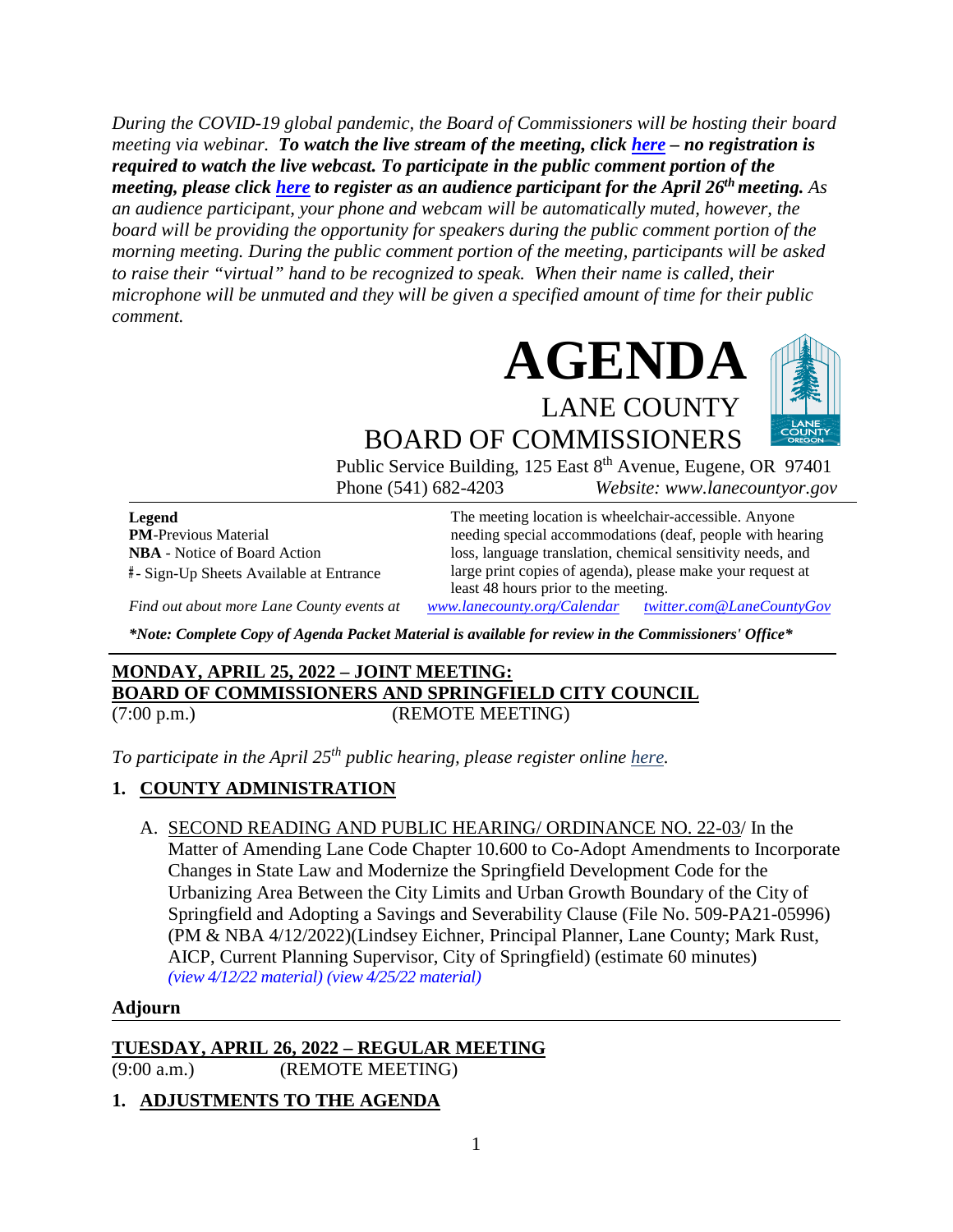*During the COVID-19 global pandemic, the Board of Commissioners will be hosting their board meeting via webinar. To watch the live stream of the meeting, click [here](https://lanecounty.org/cms/One.aspx?portalId=3585881&pageId=7842434) – no registration is required to watch the live webcast. To participate in the public comment portion of the meeting, please click [here](https://us06web.zoom.us/webinar/register/WN_rBLqVxK6Q3uGXvju-c4OJA) to register as an audience participant for the April 26th meeting. As an audience participant, your phone and webcam will be automatically muted, however, the board will be providing the opportunity for speakers during the public comment portion of the morning meeting. During the public comment portion of the meeting, participants will be asked to raise their "virtual" hand to be recognized to speak. When their name is called, their microphone will be unmuted and they will be given a specified amount of time for their public comment.* 





BOARD OF COMMISSIONERS Public Service Building, 125 East 8<sup>th</sup> Avenue, Eugene, OR 97401

Phone (541) 682-4203 *Website: www.lanecountyor.gov*

**Legend PM**-Previous Material **NBA** - Notice of Board Action **#** - Sign-Up Sheets Available at Entrance

The meeting location is wheelchair-accessible. Anyone needing special accommodations (deaf, people with hearing loss, language translation, chemical sensitivity needs, and large print copies of agenda), please make your request at least 48 hours prior to the meeting.

*Find out about more Lane County events at [www.lanecounty.org/Calendar](http://www.lanecounty.org/Calendar) [twitter.com@LaneCountyGov](https://twitter.com/lanecountygov?lang=en)*

*\*Note: Complete Copy of Agenda Packet Material is available for review in the Commissioners' Office\**

# **MONDAY, APRIL 25, 2022 – JOINT MEETING: BOARD OF COMMISSIONERS AND SPRINGFIELD CITY COUNCIL** (7:00 p.m.) (REMOTE MEETING)

*To participate in the April 25th public hearing, please register online [here.](https://us06web.zoom.us/webinar/register/WN_r5IMLmsjQvCsceD-u7lHnA)*

# **1. COUNTY ADMINISTRATION**

A. SECOND READING AND PUBLIC HEARING/ ORDINANCE NO. 22-03/ In the Matter of Amending Lane Code Chapter 10.600 to Co-Adopt Amendments to Incorporate Changes in State Law and Modernize the Springfield Development Code for the Urbanizing Area Between the City Limits and Urban Growth Boundary of the City of Springfield and Adopting a Savings and Severability Clause (File No. 509-PA21-05996) (PM & NBA 4/12/2022)(Lindsey Eichner, Principal Planner, Lane County; Mark Rust, AICP, Current Planning Supervisor, City of Springfield) (estimate 60 minutes) *(view [4/12/22 material\)](http://www.lanecountyor.gov/UserFiles/Servers/Server_3585797/File/Government/BCC/2022/2022_AGENDAS/041222agenda/T.13.B.pdf) (view [4/25/22 material\)](http://www.lanecountyor.gov/UserFiles/Servers/Server_3585797/File/Government/BCC/2022/2022_AGENDAS/042622agenda/M.1.A.pdf)*

#### **Adjourn**

**TUESDAY, APRIL 26, 2022 – REGULAR MEETING**

(9:00 a.m.) (REMOTE MEETING)

# **1. ADJUSTMENTS TO THE AGENDA**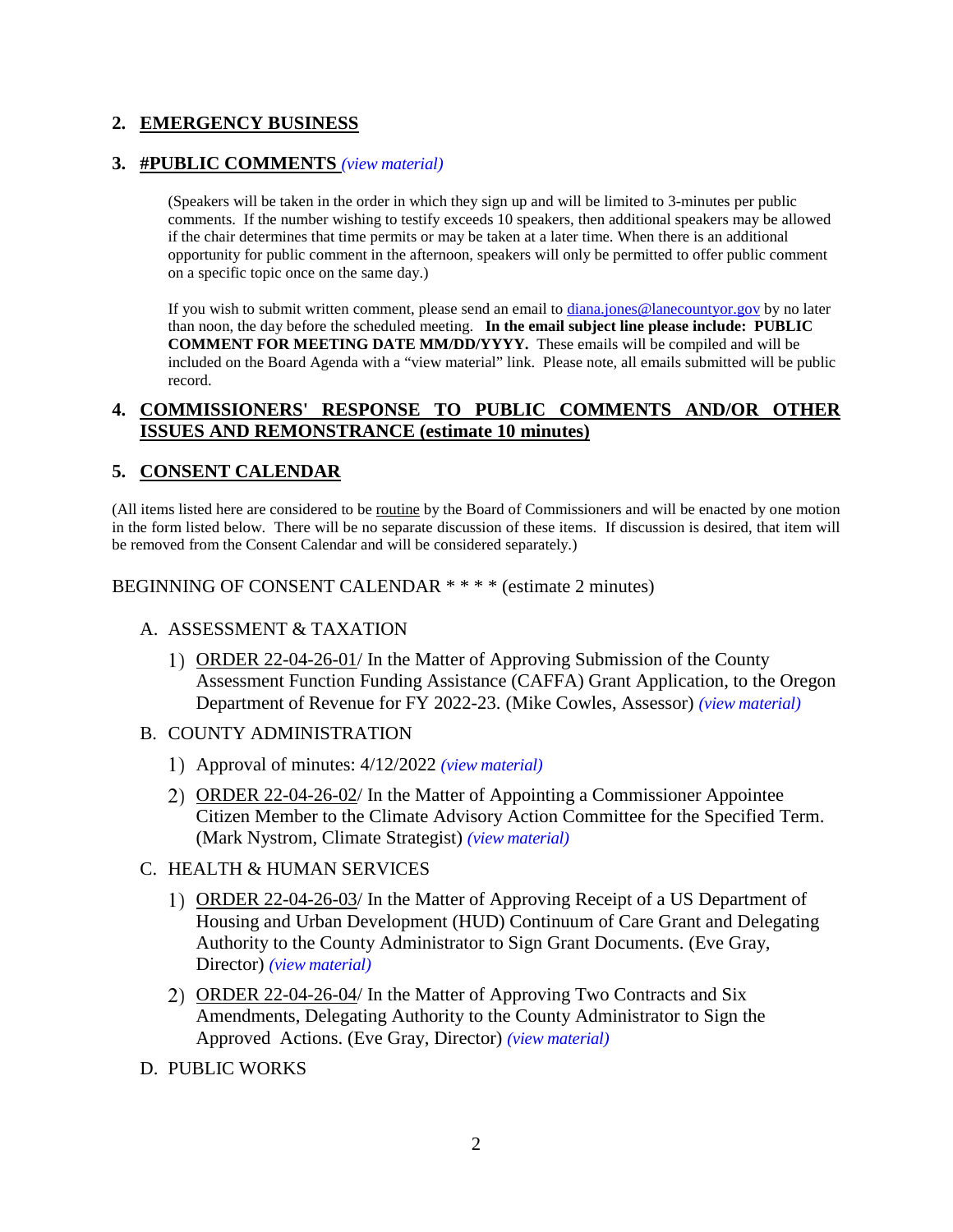# **2. EMERGENCY BUSINESS**

#### **3. #PUBLIC COMMENTS** *(view [material\)](http://www.lanecountyor.gov/UserFiles/Servers/Server_3585797/File/Government/BCC/2022/2022_AGENDAS/042622agenda/T.3.pdf)*

(Speakers will be taken in the order in which they sign up and will be limited to 3-minutes per public comments. If the number wishing to testify exceeds 10 speakers, then additional speakers may be allowed if the chair determines that time permits or may be taken at a later time. When there is an additional opportunity for public comment in the afternoon, speakers will only be permitted to offer public comment on a specific topic once on the same day.)

If you wish to submit written comment, please send an email to [diana.jones@lanecountyor.gov](mailto:diana.jones@lanecountyor.gov) by no later than noon, the day before the scheduled meeting. **In the email subject line please include: PUBLIC COMMENT FOR MEETING DATE MM/DD/YYYY.** These emails will be compiled and will be included on the Board Agenda with a "view material" link. Please note, all emails submitted will be public record.

#### **4. COMMISSIONERS' RESPONSE TO PUBLIC COMMENTS AND/OR OTHER ISSUES AND REMONSTRANCE (estimate 10 minutes)**

#### **5. CONSENT CALENDAR**

(All items listed here are considered to be routine by the Board of Commissioners and will be enacted by one motion in the form listed below. There will be no separate discussion of these items. If discussion is desired, that item will be removed from the Consent Calendar and will be considered separately.)

BEGINNING OF CONSENT CALENDAR \* \* \* \* (estimate 2 minutes)

- A. ASSESSMENT & TAXATION
	- ORDER 22-04-26-01/ In the Matter of Approving Submission of the County Assessment Function Funding Assistance (CAFFA) Grant Application, to the Oregon Department of Revenue for FY 2022-23. (Mike Cowles, Assessor) *(view [material\)](http://www.lanecountyor.gov/UserFiles/Servers/Server_3585797/File/Government/BCC/2022/2022_AGENDAS/042622agenda/T.5.A.1.pdf)*
- B. COUNTY ADMINISTRATION
	- Approval of minutes: 4/12/2022 *(view [material\)](http://www.lanecountyor.gov/UserFiles/Servers/Server_3585797/File/Government/BCC/2022/2022_AGENDAS/042622agenda/T.5.B.1.pdf)*
	- ORDER 22-04-26-02/ In the Matter of Appointing a Commissioner Appointee Citizen Member to the Climate Advisory Action Committee for the Specified Term. (Mark Nystrom, Climate Strategist) *(view [material\)](http://www.lanecountyor.gov/UserFiles/Servers/Server_3585797/File/Government/BCC/2022/2022_AGENDAS/042622agenda/T.5.B.2.pdf)*
- C. HEALTH & HUMAN SERVICES
	- ORDER 22-04-26-03/ In the Matter of Approving Receipt of a US Department of Housing and Urban Development (HUD) Continuum of Care Grant and Delegating Authority to the County Administrator to Sign Grant Documents. (Eve Gray, Director) *(view [material\)](http://www.lanecountyor.gov/UserFiles/Servers/Server_3585797/File/Government/BCC/2022/2022_AGENDAS/042622agenda/T.5.C.1.pdf)*
	- ORDER 22-04-26-04/ In the Matter of Approving Two Contracts and Six Amendments, Delegating Authority to the County Administrator to Sign the Approved Actions. (Eve Gray, Director) *(view [material\)](http://www.lanecountyor.gov/UserFiles/Servers/Server_3585797/File/Government/BCC/2022/2022_AGENDAS/042622agenda/T.5.C.2.pdf)*
- D. PUBLIC WORKS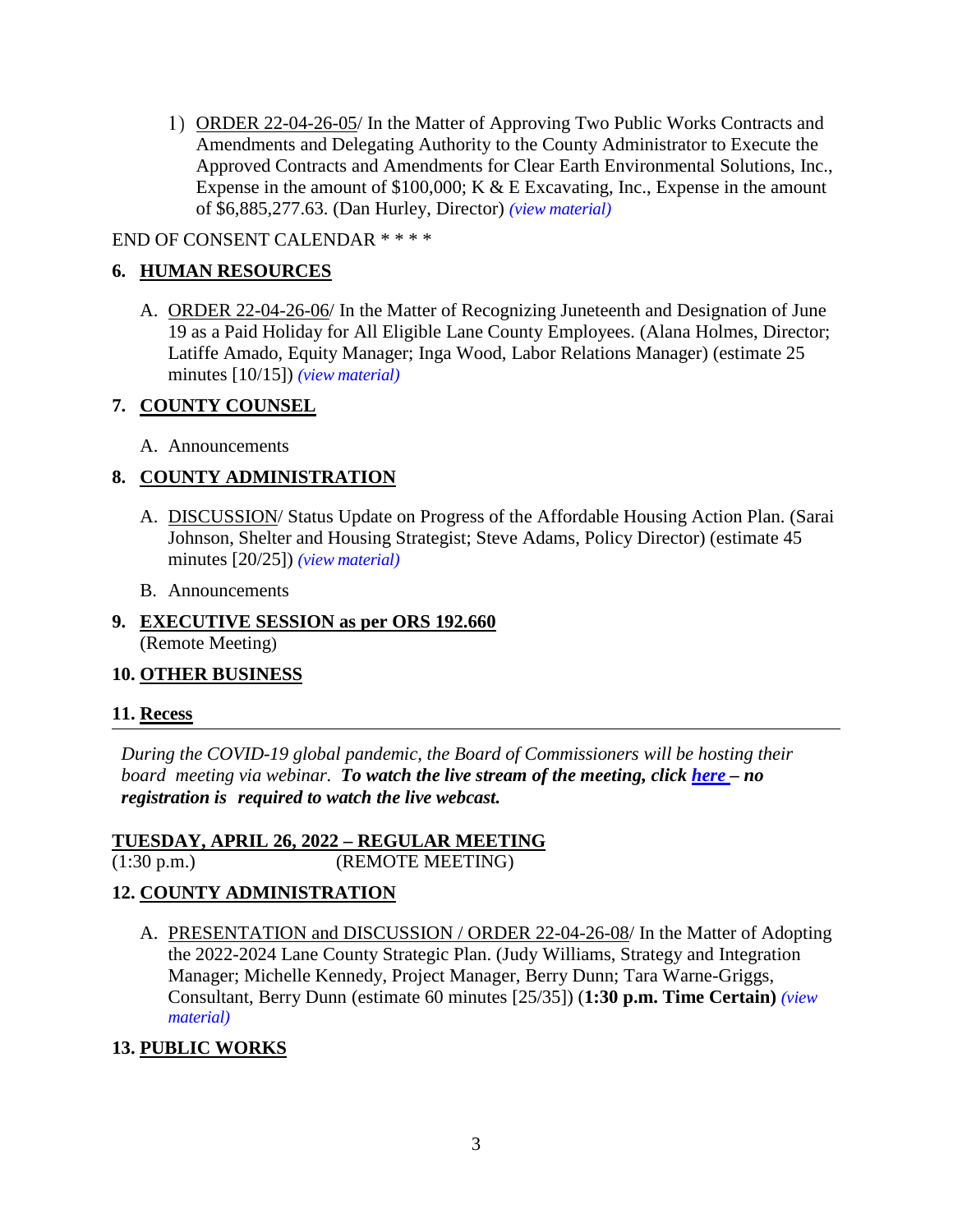ORDER 22-04-26-05/ In the Matter of Approving Two Public Works Contracts and Amendments and Delegating Authority to the County Administrator to Execute the Approved Contracts and Amendments for Clear Earth Environmental Solutions, Inc., Expense in the amount of  $$100,000$ ; K & E Excavating, Inc., Expense in the amount of \$6,885,277.63. (Dan Hurley, Director) *(view [material\)](http://www.lanecountyor.gov/UserFiles/Servers/Server_3585797/File/Government/BCC/2022/2022_AGENDAS/042622agenda/T.5.D.1.pdf)*

#### END OF CONSENT CALENDAR \* \* \* \*

# **6. HUMAN RESOURCES**

A. ORDER 22-04-26-06/ In the Matter of Recognizing Juneteenth and Designation of June 19 as a Paid Holiday for All Eligible Lane County Employees. (Alana Holmes, Director; Latiffe Amado, Equity Manager; Inga Wood, Labor Relations Manager) (estimate 25 minutes [10/15]) *(view [material\)](http://www.lanecountyor.gov/UserFiles/Servers/Server_3585797/File/Government/BCC/2022/2022_AGENDAS/042622agenda/T.6.A.pdf)*

#### **7. COUNTY COUNSEL**

A. Announcements

# **8. COUNTY ADMINISTRATION**

- A. DISCUSSION/ Status Update on Progress of the Affordable Housing Action Plan. (Sarai Johnson, Shelter and Housing Strategist; Steve Adams, Policy Director) (estimate 45 minutes [20/25]) *(view [material\)](http://www.lanecountyor.gov/UserFiles/Servers/Server_3585797/File/Government/BCC/2022/2022_AGENDAS/042622agenda/T.8.A.pdf)*
- B. Announcements
- **9. EXECUTIVE SESSION as per ORS 192.660** (Remote Meeting)

# **10. OTHER BUSINESS**

# **11. Recess**

*During the COVID-19 global pandemic, the Board of Commissioners will be hosting their board meeting via webinar. To watch the live stream of the meeting, click [here](https://lanecounty.org/cms/One.aspx?portalId=3585881&pageId=7842434) – no registration is required to watch the live webcast.* 

#### **TUESDAY, APRIL 26, 2022 – REGULAR MEETING**

(1:30 p.m.) (REMOTE MEETING)

# **12. COUNTY ADMINISTRATION**

A. PRESENTATION and DISCUSSION / ORDER 22-04-26-08/ In the Matter of Adopting the 2022-2024 Lane County Strategic Plan. (Judy Williams, Strategy and Integration Manager; Michelle Kennedy, Project Manager, Berry Dunn; Tara Warne-Griggs, Consultant, Berry Dunn (estimate 60 minutes [25/35]) (**1:30 p.m. Time Certain)** *[\(view](http://www.lanecountyor.gov/UserFiles/Servers/Server_3585797/File/Government/BCC/2022/2022_AGENDAS/042622agenda/T.12.A.pdf) [material\)](http://www.lanecountyor.gov/UserFiles/Servers/Server_3585797/File/Government/BCC/2022/2022_AGENDAS/042622agenda/T.12.A.pdf)*

# **13. PUBLIC WORKS**